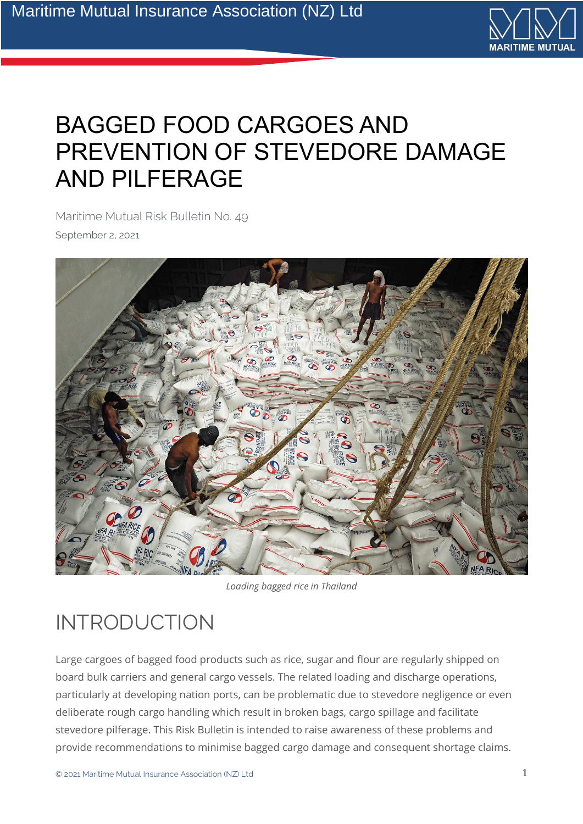

# BAGGED FOOD CARGOES AND PREVENTION OF STEVEDORE DAMAGE AND PILFERAGE

Maritime Mutual Risk Bulletin No. 49 September 2, 2021



*Loading bagged rice in Thailand*

## INTRODUCTION

Large cargoes of bagged food products such as rice, sugar and flour are regularly shipped on board bulk carriers and general cargo vessels. The related loading and discharge operations, particularly at developing nation ports, can be problematic due to stevedore negligence or even deliberate rough cargo handling which result in broken bags, cargo spillage and facilitate stevedore pilferage. This Risk Bulletin is intended to raise awareness of these problems and provide recommendations to minimise bagged cargo damage and consequent shortage claims.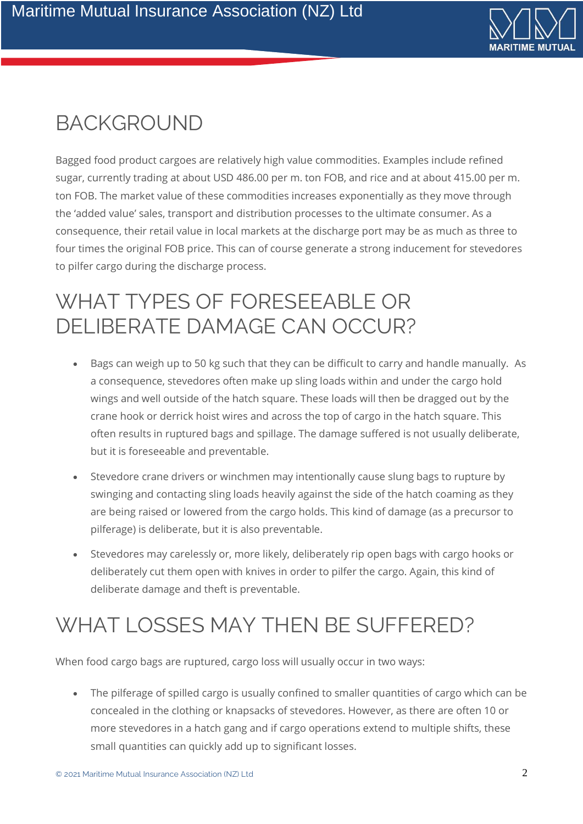

## **BACKGROUND**

Bagged food product cargoes are relatively high value commodities. Examples include refined sugar, currently trading at about USD 486.00 per m. ton FOB, and rice and at about 415.00 per m. ton FOB. The market value of these commodities increases exponentially as they move through the 'added value' sales, transport and distribution processes to the ultimate consumer. As a consequence, their retail value in local markets at the discharge port may be as much as three to four times the original FOB price. This can of course generate a strong inducement for stevedores to pilfer cargo during the discharge process.

## WHAT TYPES OF FORESEEABLE OR DELIBERATE DAMAGE CAN OCCUR?

- Bags can weigh up to 50 kg such that they can be difficult to carry and handle manually. As a consequence, stevedores often make up sling loads within and under the cargo hold wings and well outside of the hatch square. These loads will then be dragged out by the crane hook or derrick hoist wires and across the top of cargo in the hatch square. This often results in ruptured bags and spillage. The damage suffered is not usually deliberate, but it is foreseeable and preventable.
- Stevedore crane drivers or winchmen may intentionally cause slung bags to rupture by swinging and contacting sling loads heavily against the side of the hatch coaming as they are being raised or lowered from the cargo holds. This kind of damage (as a precursor to pilferage) is deliberate, but it is also preventable.
- Stevedores may carelessly or, more likely, deliberately rip open bags with cargo hooks or deliberately cut them open with knives in order to pilfer the cargo. Again, this kind of deliberate damage and theft is preventable.

## WHAT LOSSES MAY THEN BE SUFFERED?

When food cargo bags are ruptured, cargo loss will usually occur in two ways:

• The pilferage of spilled cargo is usually confined to smaller quantities of cargo which can be concealed in the clothing or knapsacks of stevedores. However, as there are often 10 or more stevedores in a hatch gang and if cargo operations extend to multiple shifts, these small quantities can quickly add up to significant losses.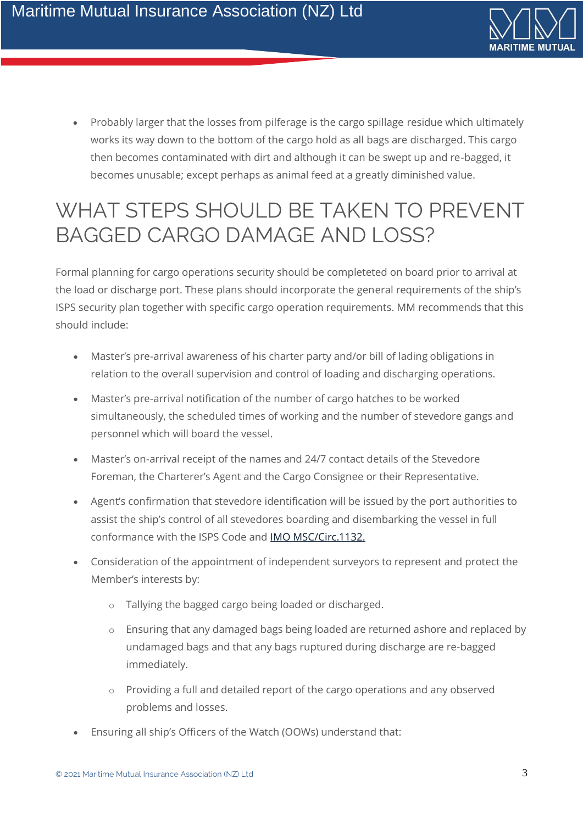

• Probably larger that the losses from pilferage is the cargo spillage residue which ultimately works its way down to the bottom of the cargo hold as all bags are discharged. This cargo then becomes contaminated with dirt and although it can be swept up and re-bagged, it becomes unusable; except perhaps as animal feed at a greatly diminished value.

### WHAT STEPS SHOULD BE TAKEN TO PREVENT BAGGED CARGO DAMAGE AND LOSS?

Formal planning for cargo operations security should be completeted on board prior to arrival at the load or discharge port. These plans should incorporate the general requirements of the ship's ISPS security plan together with specific cargo operation requirements. MM recommends that this should include:

- Master's pre-arrival awareness of his charter party and/or bill of lading obligations in relation to the overall supervision and control of loading and discharging operations.
- Master's pre-arrival notification of the number of cargo hatches to be worked simultaneously, the scheduled times of working and the number of stevedore gangs and personnel which will board the vessel.
- Master's on-arrival receipt of the names and 24/7 contact details of the Stevedore Foreman, the Charterer's Agent and the Cargo Consignee or their Representative.
- Agent's confirmation that stevedore identification will be issued by the port authorities to assist the ship's control of all stevedores boarding and disembarking the vessel in full conformance with the ISPS Code and **[IMO MSC/Circ.1132.](https://unctad.org/system/files/official-document/aconf89d13_en.pdf)**
- Consideration of the appointment of independent surveyors to represent and protect the Member's interests by:
	- o Tallying the bagged cargo being loaded or discharged.
	- o Ensuring that any damaged bags being loaded are returned ashore and replaced by undamaged bags and that any bags ruptured during discharge are re-bagged immediately.
	- o Providing a full and detailed report of the cargo operations and any observed problems and losses.
- Ensuring all ship's Officers of the Watch (OOWs) understand that: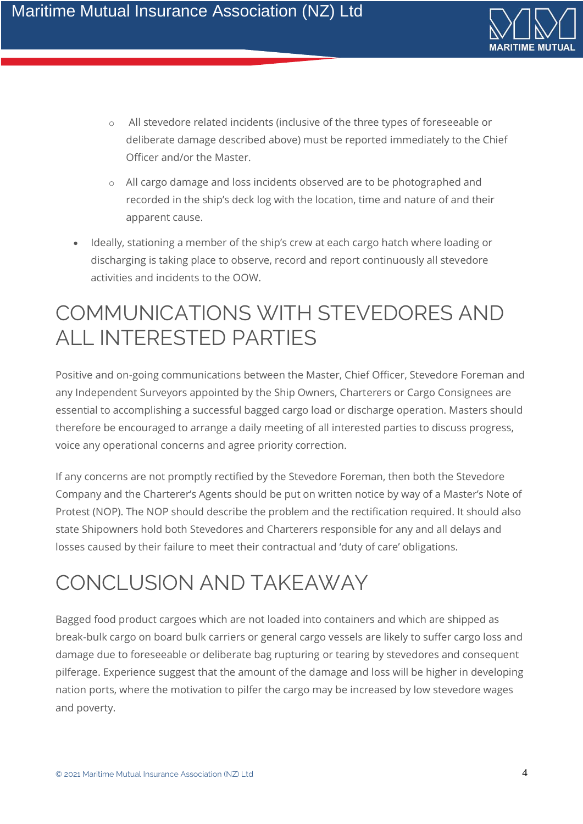

- o All stevedore related incidents (inclusive of the three types of foreseeable or deliberate damage described above) must be reported immediately to the Chief Officer and/or the Master.
- o All cargo damage and loss incidents observed are to be photographed and recorded in the ship's deck log with the location, time and nature of and their apparent cause.
- Ideally, stationing a member of the ship's crew at each cargo hatch where loading or discharging is taking place to observe, record and report continuously all stevedore activities and incidents to the OOW.

### COMMUNICATIONS WITH STEVEDORES AND ALL INTERESTED PARTIES

Positive and on-going communications between the Master, Chief Officer, Stevedore Foreman and any Independent Surveyors appointed by the Ship Owners, Charterers or Cargo Consignees are essential to accomplishing a successful bagged cargo load or discharge operation. Masters should therefore be encouraged to arrange a daily meeting of all interested parties to discuss progress, voice any operational concerns and agree priority correction.

If any concerns are not promptly rectified by the Stevedore Foreman, then both the Stevedore Company and the Charterer's Agents should be put on written notice by way of a Master's Note of Protest (NOP). The NOP should describe the problem and the rectification required. It should also state Shipowners hold both Stevedores and Charterers responsible for any and all delays and losses caused by their failure to meet their contractual and 'duty of care' obligations.

# CONCLUSION AND TAKEAWAY

Bagged food product cargoes which are not loaded into containers and which are shipped as break-bulk cargo on board bulk carriers or general cargo vessels are likely to suffer cargo loss and damage due to foreseeable or deliberate bag rupturing or tearing by stevedores and consequent pilferage. Experience suggest that the amount of the damage and loss will be higher in developing nation ports, where the motivation to pilfer the cargo may be increased by low stevedore wages and poverty.